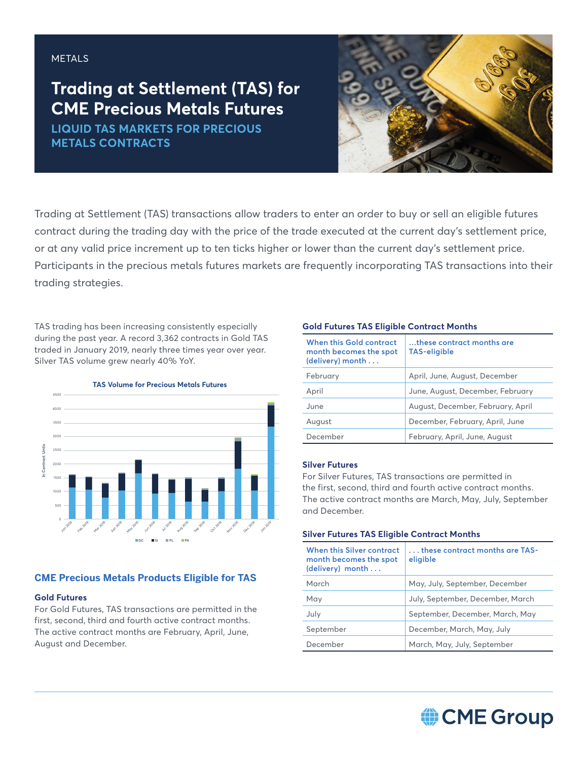## METALS

# **Trading at Settlement (TAS) for CME Precious Metals Futures**

**LIQUID TAS MARKETS FOR PRECIOUS METALS CONTRACTS**



Trading at Settlement (TAS) transactions allow traders to enter an order to buy or sell an eligible futures contract during the trading day with the price of the trade executed at the current day's settlement price, or at any valid price increment up to ten ticks higher or lower than the current day's settlement price. Participants in the precious metals futures markets are frequently incorporating TAS transactions into their trading strategies.

TAS trading has been increasing consistently especially during the past year. A record 3,362 contracts in Gold TAS traded in January 2019, nearly three times year over year. Silver TAS volume grew nearly 40% YoY.



## **CME Precious Metals Products Eligible for TAS**

#### **Gold Futures**

For Gold Futures, TAS transactions are permitted in the first, second, third and fourth active contract months. The active contract months are February, April, June, August and December.

#### **Gold Futures TAS Eligible Contract Months**

| <b>When this Gold contract</b><br>month becomes the spot<br>(delivery) month | these contract months are<br>TAS-eligible |
|------------------------------------------------------------------------------|-------------------------------------------|
| February                                                                     | April, June, August, December             |
| April                                                                        | June, August, December, February          |
| June                                                                         | August, December, February, April         |
| August                                                                       | December, February, April, June           |
| December                                                                     | February, April, June, August             |

#### **Silver Futures**

For Silver Futures, TAS transactions are permitted in the first, second, third and fourth active contract months. The active contract months are March, May, July, September and December.

#### **Silver Futures TAS Eligible Contract Months**

| When this Silver contract<br>month becomes the spot<br>(delivery) month | $\dots$ these contract months are TAS- .<br>eligible |
|-------------------------------------------------------------------------|------------------------------------------------------|
| March                                                                   | May, July, September, December                       |
| May                                                                     | July, September, December, March                     |
| July                                                                    | September, December, March, May                      |
| September                                                               | December, March, May, July                           |
| December                                                                | March, May, July, September                          |

# CME Group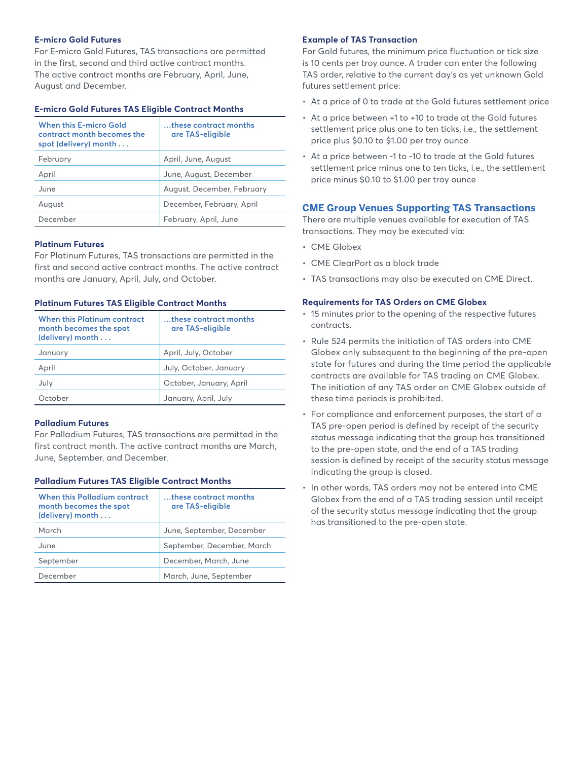#### **E-micro Gold Futures**

For E-micro Gold Futures, TAS transactions are permitted in the first, second and third active contract months. The active contract months are February, April, June, August and December.

#### **E-micro Gold Futures TAS Eligible Contract Months**

| <b>When this E-micro Gold</b><br>contract month becomes the<br>spot (delivery) month | these contract months<br>are TAS-eligible |  |
|--------------------------------------------------------------------------------------|-------------------------------------------|--|
| February                                                                             | April, June, August                       |  |
| April                                                                                | June, August, December                    |  |
| June                                                                                 | August, December, February                |  |
| August                                                                               | December, February, April                 |  |
| December                                                                             | February, April, June                     |  |

#### **Platinum Futures**

For Platinum Futures, TAS transactions are permitted in the first and second active contract months. The active contract months are January, April, July, and October.

#### **Platinum Futures TAS Eligible Contract Months**

| When this Platinum contract<br>month becomes the spot<br>(delivery) month | these contract months<br>are TAS-eligible |
|---------------------------------------------------------------------------|-------------------------------------------|
| January                                                                   | April, July, October                      |
| April                                                                     | July, October, January                    |
| July                                                                      | October, January, April                   |
| October                                                                   | January, April, July                      |

#### **Palladium Futures**

For Palladium Futures, TAS transactions are permitted in the first contract month. The active contract months are March, June, September, and December.

#### **Palladium Futures TAS Eligible Contract Months**

| When this Palladium contract<br>month becomes the spot<br>(delivery) month | these contract months<br>are TAS-eligible |
|----------------------------------------------------------------------------|-------------------------------------------|
| March                                                                      | June, September, December                 |
| June                                                                       | September, December, March                |
| September                                                                  | December, March, June                     |
| December                                                                   | March, June, September                    |

#### **Example of TAS Transaction**

For Gold futures, the minimum price fluctuation or tick size is 10 cents per troy ounce. A trader can enter the following TAS order, relative to the current day's as yet unknown Gold futures settlement price:

- At a price of 0 to trade at the Gold futures settlement price
- At a price between +1 to +10 to trade at the Gold futures settlement price plus one to ten ticks, i.e., the settlement price plus \$0.10 to \$1.00 per troy ounce
- At a price between -1 to -10 to trade at the Gold futures settlement price minus one to ten ticks, i.e., the settlement price minus \$0.10 to \$1.00 per troy ounce

#### **CME Group Venues Supporting TAS Transactions**

There are multiple venues available for execution of TAS transactions. They may be executed via:

- CME Globex
- CME ClearPort as a block trade
- TAS transactions may also be executed on CME Direct.

#### **Requirements for TAS Orders on CME Globex**

- 15 minutes prior to the opening of the respective futures contracts.
- Rule 524 permits the initiation of TAS orders into CME Globex only subsequent to the beginning of the pre-open state for futures and during the time period the applicable contracts are available for TAS trading on CME Globex. The initiation of any TAS order on CME Globex outside of these time periods is prohibited.
- For compliance and enforcement purposes, the start of a TAS pre-open period is defined by receipt of the security status message indicating that the group has transitioned to the pre-open state, and the end of a TAS trading session is defined by receipt of the security status message indicating the group is closed.
- In other words, TAS orders may not be entered into CME Globex from the end of a TAS trading session until receipt of the security status message indicating that the group has transitioned to the pre-open state.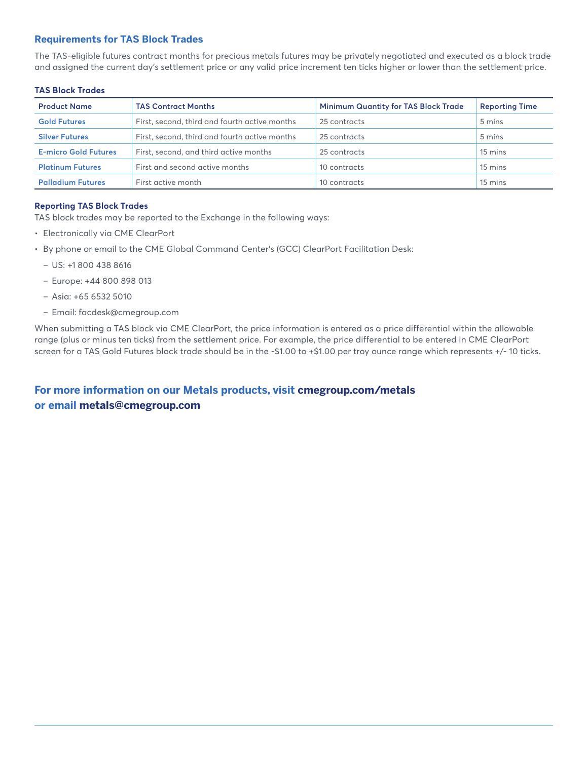### **Requirements for TAS Block Trades**

The TAS-eligible futures contract months for precious metals futures may be privately negotiated and executed as a block trade and assigned the current day's settlement price or any valid price increment ten ticks higher or lower than the settlement price.

#### **TAS Block Trades**

| <b>Product Name</b>         | <b>TAS Contract Months</b>                    | <b>Minimum Quantity for TAS Block Trade</b> | <b>Reporting Time</b> |
|-----------------------------|-----------------------------------------------|---------------------------------------------|-----------------------|
| <b>Gold Futures</b>         | First, second, third and fourth active months | 25 contracts                                | 5 mins                |
| <b>Silver Futures</b>       | First, second, third and fourth active months | 25 contracts                                | 5 mins                |
| <b>E-micro Gold Futures</b> | First, second, and third active months        | 25 contracts                                | 15 mins               |
| <b>Platinum Futures</b>     | First and second active months                | 10 contracts                                | 15 mins               |
| <b>Palladium Futures</b>    | First active month                            | 10 contracts                                | 15 mins               |

#### **Reporting TAS Block Trades**

TAS block trades may be reported to the Exchange in the following ways:

- Electronically via CME ClearPort
- By phone or email to the CME Global Command Center's (GCC) ClearPort Facilitation Desk:
	- US: +1 800 438 8616
	- Europe: +44 800 898 013
	- Asia: +65 6532 5010
	- Email: facdesk@cmegroup.com

When submitting a TAS block via CME ClearPort, the price information is entered as a price differential within the allowable range (plus or minus ten ticks) from the settlement price. For example, the price differential to be entered in CME ClearPort screen for a TAS Gold Futures block trade should be in the -\$1.00 to +\$1.00 per troy ounce range which represents +/- 10 ticks.

# **For more information on our Metals products, visit cmegroup.com/metals or email metals@cmegroup.com**